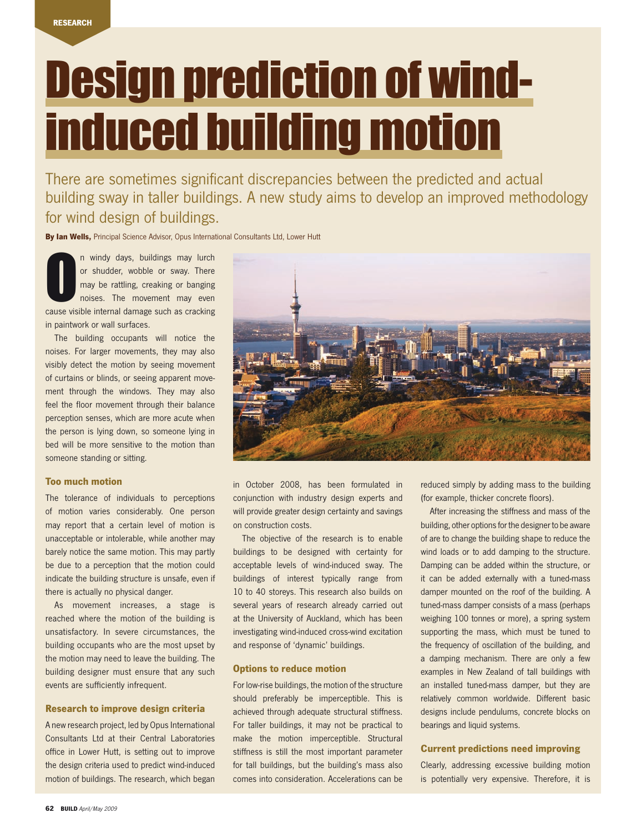# Design prediction of windinduced building motion

There are sometimes significant discrepancies between the predicted and actual building sway in taller buildings. A new study aims to develop an improved methodology for wind design of buildings.

By Ian Wells, Principal Science Advisor, Opus International Consultants Ltd, Lower Hutt

O n windy days, buildings may lurch or shudder, wobble or sway. There may be rattling, creaking or banging noises. The movement may even cause visible internal damage such as cracking in paintwork or wall surfaces.

The building occupants will notice the noises. For larger movements, they may also visibly detect the motion by seeing movement of curtains or blinds, or seeing apparent movement through the windows. They may also feel the floor movement through their balance perception senses, which are more acute when the person is lying down, so someone lying in bed will be more sensitive to the motion than someone standing or sitting.

### Too much motion

The tolerance of individuals to perceptions of motion varies considerably. One person may report that a certain level of motion is unacceptable or intolerable, while another may barely notice the same motion. This may partly be due to a perception that the motion could indicate the building structure is unsafe, even if there is actually no physical danger.

As movement increases, a stage is reached where the motion of the building is unsatisfactory. In severe circumstances, the building occupants who are the most upset by the motion may need to leave the building. The building designer must ensure that any such events are sufficiently infrequent.

# Research to improve design criteria

A new research project, led by Opus International Consultants Ltd at their Central Laboratories office in Lower Hutt, is setting out to improve the design criteria used to predict wind-induced motion of buildings. The research, which began



in October 2008, has been formulated in conjunction with industry design experts and will provide greater design certainty and savings on construction costs.

The objective of the research is to enable buildings to be designed with certainty for acceptable levels of wind-induced sway. The buildings of interest typically range from 10 to 40 storeys. This research also builds on several years of research already carried out at the University of Auckland, which has been investigating wind-induced cross-wind excitation and response of 'dynamic' buildings.

# Options to reduce motion

For low-rise buildings, the motion of the structure should preferably be imperceptible. This is achieved through adequate structural stiffness. For taller buildings, it may not be practical to make the motion imperceptible. Structural stiffness is still the most important parameter for tall buildings, but the building's mass also comes into consideration. Accelerations can be

reduced simply by adding mass to the building (for example, thicker concrete floors).

After increasing the stiffness and mass of the building, other options for the designer to be aware of are to change the building shape to reduce the wind loads or to add damping to the structure. Damping can be added within the structure, or it can be added externally with a tuned-mass damper mounted on the roof of the building. A tuned-mass damper consists of a mass (perhaps weighing 100 tonnes or more), a spring system supporting the mass, which must be tuned to the frequency of oscillation of the building, and a damping mechanism. There are only a few examples in New Zealand of tall buildings with an installed tuned-mass damper, but they are relatively common worldwide. Different basic designs include pendulums, concrete blocks on bearings and liquid systems.

# Current predictions need improving

Clearly, addressing excessive building motion is potentially very expensive. Therefore, it is